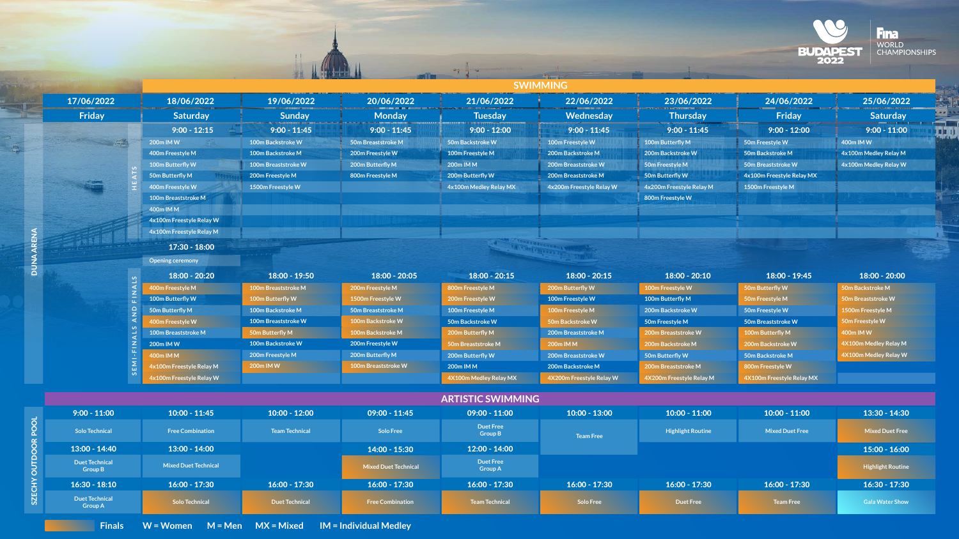| <b>SWIMMING</b>                         |                             |                            |                             |                                    |                          |                          |                           |                          |  |
|-----------------------------------------|-----------------------------|----------------------------|-----------------------------|------------------------------------|--------------------------|--------------------------|---------------------------|--------------------------|--|
| 17/06/2022                              | 18/06/2022                  | 19/06/2022                 | 20/06/2022                  | 21/06/2022                         | 22/06/2022               | 23/06/2022               | 24/06/2022                | 25/06/2022               |  |
| Friday                                  | <b>Saturday</b>             | <b>Sunday</b>              | <b>Monday</b>               | <b>Tuesday</b>                     | Wednesday                | <b>Thursday</b>          | Friday                    | <b>Saturday</b>          |  |
|                                         | $9:00 - 12:15$              | $9:00 - 11:45$             | $9:00 - 11:45$              | $9:00 - 12:00$                     | $9:00 - 11:45$           | $9:00 - 11:45$           | $9:00 - 12:00$            | $9:00 - 11:00$           |  |
| <b>Agent</b>                            | 200m IM W                   | 100m Backstroke W          | 50m Breaststroke M          | 50m Backstroke W                   | 100m Freestyle W         | 100m Butterfly M         | 50m Freestyle W           | 400m IM W                |  |
|                                         | 400m Freestyle M            | 100m Backstroke M          | 200m Freestyle W            | 100m Freestyle M                   | 200m Backstroke M        | 200m Backstroke W        | 50m Backstroke M          | 4x100m Medley Relay M    |  |
|                                         | 100m Butterfly W            | <b>100m Breaststroke W</b> | 200m Butterfly M            | 200m IM M                          | 200m Breaststroke W      | 50m Freestyle M          | 50m Breaststroke W        | 4x100m Medley Relay W    |  |
|                                         | 50m Butterfly M             | 200m Freestyle M           | 800m Freestyle M            | 200m Butterfly W                   | 200m Breaststroke M      | 50m Butterfly W          | 4x100m Freestyle Relay MX |                          |  |
|                                         | 400m Freestyle W            | 1500m Freestyle W          |                             | 4x100m Medley Relay MX             | 4x200m Freestyle Relay W | 4x200m Freestyle Relay M | 1500m Freestyle M         |                          |  |
|                                         | 100m Breaststroke M         |                            |                             |                                    |                          | 800m Freestyle W         |                           |                          |  |
|                                         | 400m IM M                   |                            |                             |                                    |                          |                          |                           |                          |  |
|                                         | 4x100m Freestyle Relay W    |                            |                             |                                    |                          |                          |                           |                          |  |
|                                         | 4x100m Freestyle Relay M    |                            |                             |                                    |                          |                          |                           |                          |  |
|                                         | $17:30 - 18:00$             |                            |                             |                                    |                          |                          |                           |                          |  |
| <b>Opening ceremony</b>                 |                             |                            |                             |                                    |                          |                          |                           |                          |  |
|                                         | 18:00 - 20:20               | 18:00 - 19:50              | 18:00 - 20:05               | $18:00 - 20:15$                    | $18:00 - 20:15$          | $18:00 - 20:10$          | $18:00 - 19:45$           | $18:00 - 20:00$          |  |
|                                         | 400m Freestyle M            | 100m Breaststroke M        | 200m Freestyle M            | 800m Freestyle M                   | 200m Butterfly W         | 100m Freestyle W         | 50m Butterfly W           | 50m Backstroke M         |  |
|                                         | 100m Butterfly W            | 100m Butterfly W           | 1500m Freestyle W           | 200m Freestyle W                   | 100m Freestyle W         | 100m Butterfly M         | 50m Freestyle M           | 50m Breaststroke W       |  |
|                                         | 50m Butterfly M             | 100m Backstroke M          | 50m Breaststroke M          | 100m Freestyle M                   | 100m Freestyle M         | 200m Backstroke W        | 50m Freestyle W           | 1500m Freestyle M        |  |
|                                         | 400m Freestyle W            | 100m Breaststroke W        | 100m Backstroke W           | 50m Backstroke W                   | 50m Backstroke W         | 50m Freestyle M          | 50m Breaststroke W        | 50m Freestyle W          |  |
|                                         | 100m Breaststroke M         | 50m Butterfly M            | 100m Backstroke M           | 200m Butterfly M                   | 200m Breaststroke M      | 200m Breaststroke W      | 100m Butterfly M          | 400m IM W                |  |
|                                         | 200m IM W                   | 100m Backstroke W          | 200m Freestyle W            | 50m Breaststroke M                 | 200m IM M                | 200m Backstroke M        | 200m Backstroke W         | 4X100m Medley Relay M    |  |
|                                         | 400m IM M                   | 200m Freestyle M           | 200m Butterfly M            | 200m Butterfly W                   | 200m Breaststroke W      | 50m Butterfly W          | 50m Backstroke M          | 4X100m Medley Relay W    |  |
|                                         | 4x100m Freestyle Relay M    | 200m IM W                  | 100m Breaststroke W         | <b>200m IM M</b>                   | 200m Backstroke M        | 200m Breaststroke M      | 800m Freestyle W          |                          |  |
|                                         | 4x100m Freestyle Relay W    |                            |                             | 4X100m Medley Relay MX             | 4X200m Freestyle Relay W | 4X200m Freestyle Relay M | 4X100m Freestyle Relay MX |                          |  |
| <b>ARTISTIC SWIMMING</b>                |                             |                            |                             |                                    |                          |                          |                           |                          |  |
| $9:00 - 11:00$                          | $10:00 - 11:45$             | $10:00 - 12:00$            | $09:00 - 11:45$             | $09:00 - 11:00$                    | $10:00 - 13:00$          | $10:00 - 11:00$          | $10:00 - 11:00$           | 13:30 - 14:30            |  |
|                                         |                             |                            |                             | <b>Duet Free</b>                   |                          |                          |                           |                          |  |
| <b>Solo Technical</b>                   | <b>Free Combination</b>     | <b>Team Technical</b>      | Solo Free                   | <b>Group B</b>                     | <b>Team Free</b>         | <b>Highlight Routine</b> | <b>Mixed Duet Free</b>    | <b>Mixed Duet Free</b>   |  |
| $13:00 - 14:40$                         | $13:00 - 14:00$             |                            | $14:00 - 15:30$             | $12:00 - 14:00$                    |                          |                          |                           | $15:00 - 16:00$          |  |
| <b>Duet Technical</b><br><b>Group B</b> | <b>Mixed Duet Technical</b> |                            | <b>Mixed Duet Technical</b> | <b>Duet Free</b><br><b>Group A</b> |                          |                          |                           | <b>Highlight Routine</b> |  |
| $16:30 - 18:10$                         | $16:00 - 17:30$             | $16:00 - 17:30$            | $16:00 - 17:30$             | $16:00 - 17:30$                    | $16:00 - 17:30$          | $16:00 - 17:30$          | $16:00 - 17:30$           | $16:30 - 17:30$          |  |
| <b>Duet Technical</b><br><b>Group A</b> | <b>Solo Technical</b>       | <b>Duet Technical</b>      | <b>Free Combination</b>     | Team Technical                     | <b>Solo Free</b>         | <b>Duet Free</b>         | <b>Team Free</b>          | <b>Gala Water Show</b>   |  |



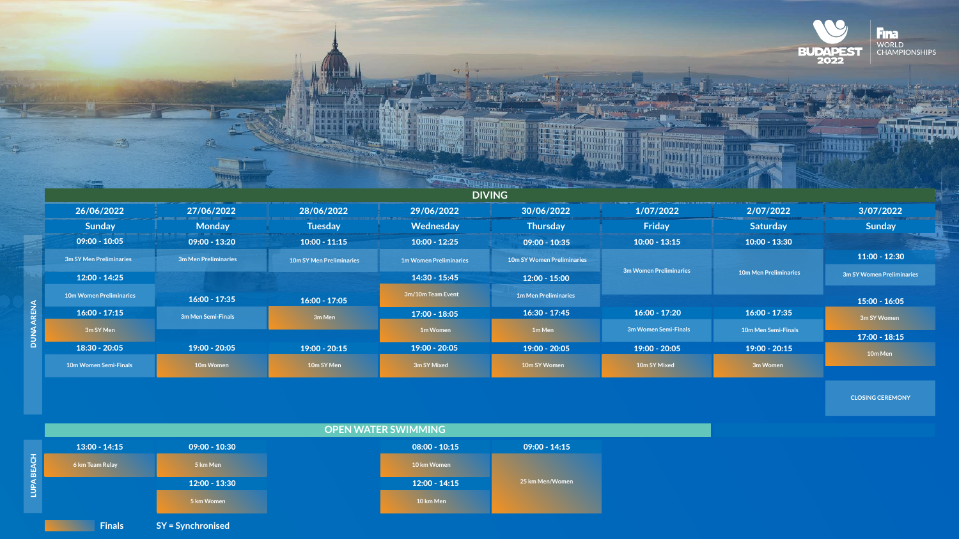DUNA ARENA

**DUNA ARENA** 



| <b>The Second Line</b> |                |    |                    |                   |
|------------------------|----------------|----|--------------------|-------------------|
|                        | <b>COLLEGE</b> |    | <b>The City</b>    | $m = \frac{1}{2}$ |
| ÷.<br>矘                |                | S. | <b>BASICARE DE</b> |                   |
|                        | <b>Report</b>  |    |                    | липин             |

| 26/06/2022                     | 27/06/2022                  | 28/06/2022                      | 29/06/2022                    | 30/06/2022                        | 1/07/20         |
|--------------------------------|-----------------------------|---------------------------------|-------------------------------|-----------------------------------|-----------------|
| <b>Sunday</b>                  | <b>Monday</b>               | <b>Tuesday</b>                  | <b>Wednesday</b>              | <b>Thursday</b>                   | Friday          |
| $09:00 - 10:05$                | $09:00 - 13:20$             | $10:00 - 11:15$                 | $10:00 - 12:25$               | $09:00 - 10:35$                   | $10:00 - 13$    |
| <b>3m SY Men Preliminaries</b> | <b>3m Men Preliminaries</b> | <b>10m SY Men Preliminaries</b> | <b>1m Women Preliminaries</b> | <b>10m SY Women Preliminaries</b> |                 |
| $12:00 - 14:25$                |                             |                                 | $14:30 - 15:45$               | $12:00 - 15:00$                   | 3m Women Prelin |
| <b>10m Women Preliminaries</b> | $16:00 - 17:35$             | $16:00 - 17:05$                 | 3m/10m Team Event             | <b>1m Men Preliminaries</b>       |                 |
| $16:00 - 17:15$                | 3m Men Semi-Finals          | 3m Men                          | $17:00 - 18:05$               | $16:30 - 17:45$                   | $16:00 - 17$    |
| 3m SY Men                      |                             |                                 | 1m Women                      | 1m Men                            | 3m Women Sen    |
| 18:30 - 20:05                  | $19:00 - 20:05$             | $19:00 - 20:15$                 | $19:00 - 20:05$               | $19:00 - 20:05$                   | $19:00 - 20$    |
| <b>10m Women Semi-Finals</b>   | 10m Women                   | 10m SY Men                      | 3m SY Mixed                   | 10m SY Women                      | 10m SY Mixe     |





| ⌒<br>٥ |                 |
|--------|-----------------|
| 10:15  | $09:00 - 14:15$ |
| nen    |                 |
| 14:15  | 25 km Men/Women |
| en     |                 |
|        |                 |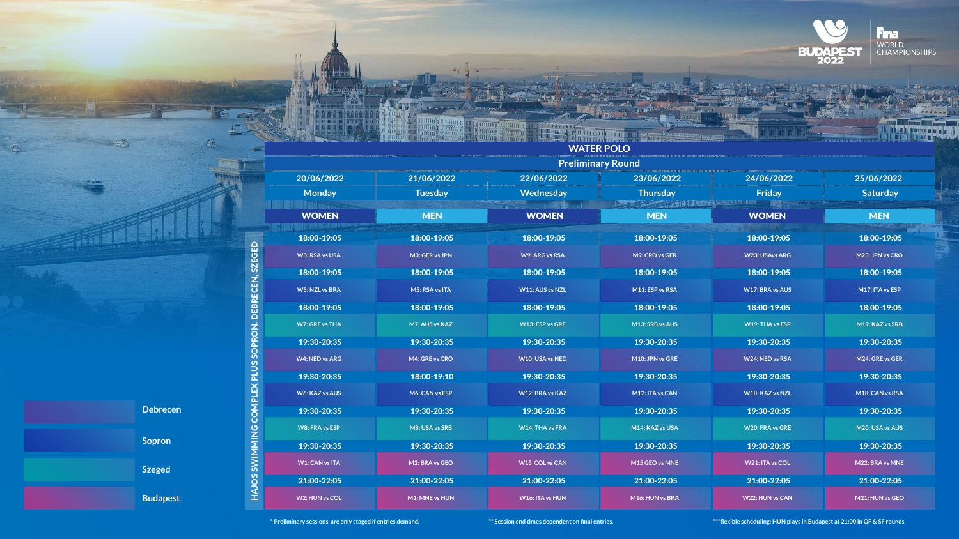**Preliminary Round**

## **WATER POLO**

**\* Preliminary sessions are only staged if entries demand. \*\* Session end times dependent on final entries. \*\*\*flexible scheduling: HUN plays in Budapest at 21:00 in QF & SF rounds**



|                       |                |                        | <b>Preliminary Round</b> |                        |                 |
|-----------------------|----------------|------------------------|--------------------------|------------------------|-----------------|
| 20/06/2022            | 21/06/2022     | 22/06/2022             | 23/06/2022               | 24/06/2022             | 25/06/2022      |
| <b>Monday</b>         | <b>Tuesday</b> | <b>Wednesday</b>       | <b>Thursday</b>          | <b>Friday</b>          | <b>Saturday</b> |
| <b>WOMEN</b>          | <b>MEN</b>     | <b>WOMEN</b>           | <b>MEN</b>               | <b>WOMEN</b>           | <b>MEN</b>      |
| 18:00-19:05           | 18:00-19:05    | 18:00-19:05            | 18:00-19:05              | 18:00-19:05            | 18:00-19:05     |
| W3: RSA vs USA        | M3: GER vs JPN | <b>W9: ARG vs RSA</b>  | M9: CRO vs GER           | <b>W23: USAvs ARG</b>  | M23: JPN vs CRO |
| 18:00-19:05           | 18:00-19:05    | 18:00-19:05            | 18:00-19:05              | 18:00-19:05            | 18:00-19:05     |
| <b>W5: NZL vs BRA</b> | M5: RSA vs ITA | W11: AUS vs NZL        | M11: ESP vs RSA          | <b>W17: BRA vs AUS</b> | M17: ITA vs ESP |
| 18:00-19:05           | 18:00-19:05    | 18:00-19:05            | 18:00-19:05              | 18:00-19:05            | 18:00-19:05     |
| <b>W7: GRE vs THA</b> | M7: AUS vs KAZ | <b>W13: ESP vs GRE</b> | M13: SRB vs AUS          | W19: THA vs ESP        | M19: KAZ vs SRB |
| 19:30-20:35           | 19:30-20:35    | 19:30-20:35            | 19:30-20:35              | 19:30-20:35            | 19:30-20:35     |
| <b>W4: NED vs ARG</b> | M4: GRE vs CRO | <b>W10: USA vs NED</b> | M10: JPN vs GRE          | W24: NED vs RSA        | M24: GRE vs GER |
| 19:30-20:35           | 18:00-19:10    | 19:30-20:35            | 19:30-20:35              | 19:30-20:35            | 19:30-20:35     |
| <b>W6: KAZ vs AUS</b> | M6: CAN vs ESP | <b>W12: BRA vs KAZ</b> | M12: ITA vs CAN          | <b>W18: KAZ vs NZL</b> | M18: CAN vs RSA |
| 19:30-20:35           | 19:30-20:35    | 19:30-20:35            | 19:30-20:35              | 19:30-20:35            | 19:30-20:35     |
| <b>W8: FRA vs ESP</b> | M8: USA vs SRB | <b>W14: THA vs FRA</b> | M14: KAZ vs USA          | <b>W20: FRA vs GRE</b> | M20: USA vs AUS |
| 19:30-20:35           | 19:30-20:35    | 19:30-20:35            | 19:30-20:35              | 19:30-20:35            | 19:30-20:35     |
| <b>W1: CAN vs ITA</b> | M2: BRA vs GEO | <b>W15 COL vs CAN</b>  | M15 GEO vs MNE           | W21: ITA vs COL        | M22: BRA vs MNE |
| 21:00-22:05           | 21:00-22:05    | 21:00-22:05            | 21:00-22:05              | 21:00-22:05            | 21:00-22:05     |
| W2: HUN vs COL        | M1: MNE vs HUN | W16: ITA vs HUN        | M16: HUN vs BRA          | W22: HUN vs CAN        | M21: HUN vs GEO |
|                       |                |                        |                          |                        |                 |

MING COMPLEX PLUS SOPRON, DEBRECEN, SZEGED HAJOS SWIMMING COMPLEX PLUS SOPRON, DEBRECEN, SZEGED HAJOS SWIM

 $\lambda_{\rm{eff}}^{\rm{max}}$ 



**LUITTEN!** 

umu s

**Quintin** 

**Europe** 

mumm